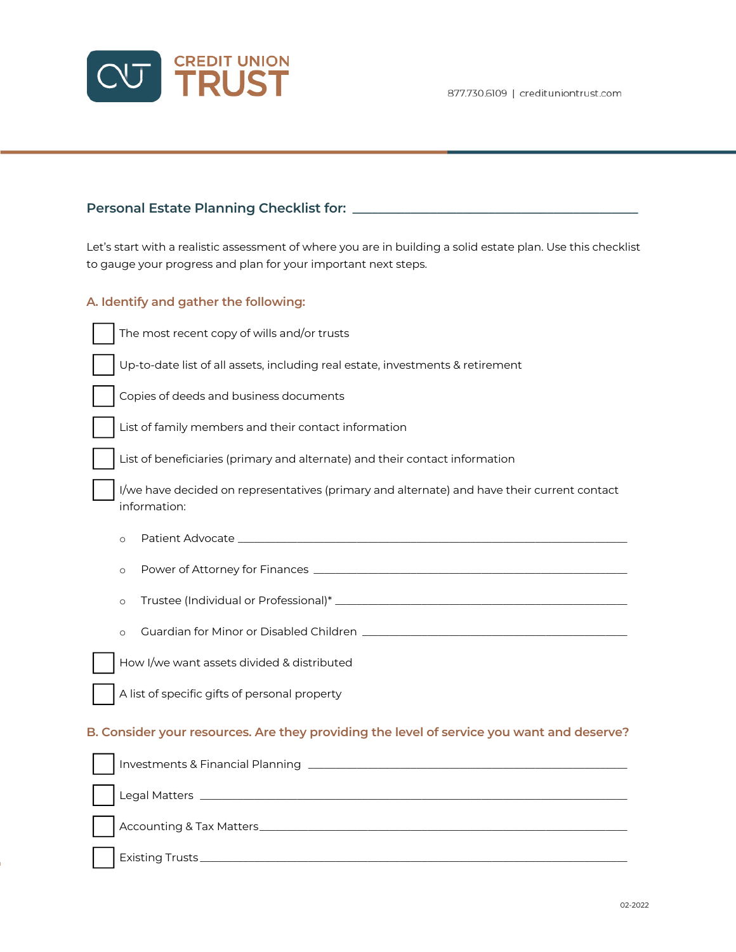

# **Personal Estate Planning Checklist for: \_\_\_\_\_\_\_\_\_\_\_\_\_\_\_\_\_\_\_\_\_\_\_\_\_\_\_\_\_\_\_\_\_\_\_\_\_\_\_\_\_\_\_\_**

Let's start with a realistic assessment of where you are in building a solid estate plan. Use this checklist to gauge your progress and plan for your important next steps.

## **A. Identify and gather the following:**

Up-to-date list of all assets, including real estate, investments & retirement

Copies of deeds and business documents

The most recent copy of wills and/or trusts

List of family members and their contact information

List of beneficiaries (primary and alternate) and their contact information

I/we have decided on representatives (primary and alternate) and have their current contact information:

o Patient Advocate \_\_\_\_\_\_\_\_\_\_\_\_\_\_\_\_\_\_\_\_\_\_\_\_\_\_\_\_\_\_\_\_\_\_\_\_\_\_\_\_\_\_\_\_\_\_\_\_\_\_\_\_\_\_\_\_\_\_\_\_\_\_\_\_\_\_\_\_\_\_\_\_

o Power of Attorney for Finances \_\_\_\_\_\_\_\_\_\_\_\_\_\_\_\_\_\_\_\_\_\_\_\_\_\_\_\_\_\_\_\_\_\_\_\_\_\_\_\_\_\_\_\_\_\_\_\_\_\_\_\_\_\_\_\_\_\_

o Trustee (Individual or Professional)\* \_\_\_\_\_\_\_\_\_\_\_\_\_\_\_\_\_\_\_\_\_\_\_\_\_\_\_\_\_\_\_\_\_\_\_\_\_\_\_\_\_\_\_\_\_\_\_\_\_\_\_\_\_\_

o Guardian for Minor or Disabled Children \_\_\_\_\_\_\_\_\_\_\_\_\_\_\_\_\_\_\_\_\_\_\_\_\_\_\_\_\_\_\_\_\_\_\_\_\_\_\_\_\_\_\_\_\_\_\_\_\_



A list of specific gifts of personal property

#### **B. Consider your resources. Are they providing the level of service you want and deserve?**

| Investments & Financial Planning _________ |
|--------------------------------------------|
|                                            |
| Accounting & Tax Matters_________          |
| Existing Trusts _____________              |